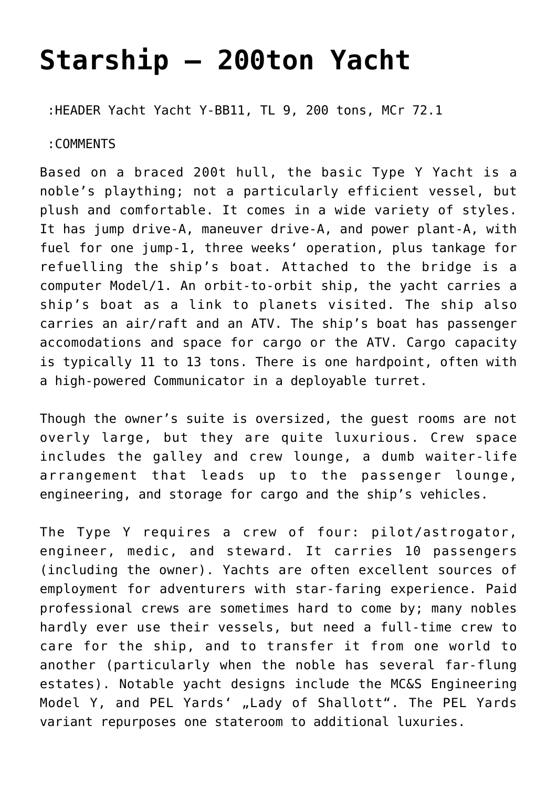## **[Starship – 200ton Yacht](https://traveller.chromeblack.com/starship-200ton-yacht/)**

:HEADER Yacht Yacht Y-BB11, TL 9, 200 tons, MCr 72.1

:COMMENTS

Based on a braced 200t hull, the basic Type Y Yacht is a noble's plaything; not a particularly efficient vessel, but plush and comfortable. It comes in a wide variety of styles. It has jump drive-A, maneuver drive-A, and power plant-A, with fuel for one jump-1, three weeks' operation, plus tankage for refuelling the ship's boat. Attached to the bridge is a computer Model/1. An orbit-to-orbit ship, the yacht carries a ship's boat as a link to planets visited. The ship also carries an air/raft and an ATV. The ship's boat has passenger accomodations and space for cargo or the ATV. Cargo capacity is typically 11 to 13 tons. There is one hardpoint, often with a high-powered Communicator in a deployable turret.

Though the owner's suite is oversized, the guest rooms are not overly large, but they are quite luxurious. Crew space includes the galley and crew lounge, a dumb waiter-life arrangement that leads up to the passenger lounge, engineering, and storage for cargo and the ship's vehicles.

The Type Y requires a crew of four: pilot/astrogator, engineer, medic, and steward. It carries 10 passengers (including the owner). Yachts are often excellent sources of employment for adventurers with star-faring experience. Paid professional crews are sometimes hard to come by; many nobles hardly ever use their vessels, but need a full-time crew to care for the ship, and to transfer it from one world to another (particularly when the noble has several far-flung estates). Notable yacht designs include the MC&S Engineering Model Y, and PEL Yards' "Lady of Shallott". The PEL Yards variant repurposes one stateroom to additional luxuries.